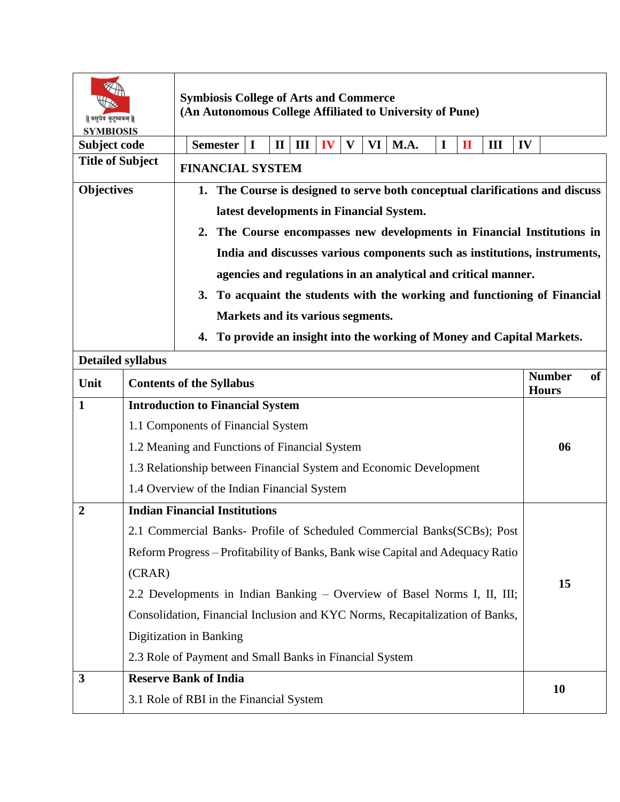| वसुधैव कुटुम्बकम्   <br><b>SYMBIOSIS</b> |                                         | <b>Symbiosis College of Arts and Commerce</b><br>(An Autonomous College Affiliated to University of Pune)                                                                                                                                                                                                                                                                                                                                                                                                                                              |                   |    |   |    |      |             |              |   |                               |    |  |
|------------------------------------------|-----------------------------------------|--------------------------------------------------------------------------------------------------------------------------------------------------------------------------------------------------------------------------------------------------------------------------------------------------------------------------------------------------------------------------------------------------------------------------------------------------------------------------------------------------------------------------------------------------------|-------------------|----|---|----|------|-------------|--------------|---|-------------------------------|----|--|
| Subject code                             |                                         | <b>Semester</b><br>I                                                                                                                                                                                                                                                                                                                                                                                                                                                                                                                                   | Ш<br>$\mathbf{I}$ | IV | V | VI | M.A. | $\mathbf I$ | $\mathbf{I}$ | Ш | IV                            |    |  |
| <b>Title of Subject</b>                  |                                         | <b>FINANCIAL SYSTEM</b>                                                                                                                                                                                                                                                                                                                                                                                                                                                                                                                                |                   |    |   |    |      |             |              |   |                               |    |  |
| <b>Objectives</b>                        |                                         | 1. The Course is designed to serve both conceptual clarifications and discuss<br>latest developments in Financial System.<br>2. The Course encompasses new developments in Financial Institutions in<br>India and discusses various components such as institutions, instruments,<br>agencies and regulations in an analytical and critical manner.<br>To acquaint the students with the working and functioning of Financial<br>3.<br>Markets and its various segments.<br>To provide an insight into the working of Money and Capital Markets.<br>4. |                   |    |   |    |      |             |              |   |                               |    |  |
|                                          | <b>Detailed syllabus</b>                |                                                                                                                                                                                                                                                                                                                                                                                                                                                                                                                                                        |                   |    |   |    |      |             |              |   |                               |    |  |
| Unit                                     |                                         | <b>Contents of the Syllabus</b>                                                                                                                                                                                                                                                                                                                                                                                                                                                                                                                        |                   |    |   |    |      |             |              |   | <b>Number</b><br><b>Hours</b> | of |  |
| 1                                        | <b>Introduction to Financial System</b> |                                                                                                                                                                                                                                                                                                                                                                                                                                                                                                                                                        |                   |    |   |    |      |             |              |   |                               |    |  |
|                                          |                                         |                                                                                                                                                                                                                                                                                                                                                                                                                                                                                                                                                        |                   |    |   |    |      |             |              |   |                               |    |  |
|                                          |                                         | 1.1 Components of Financial System                                                                                                                                                                                                                                                                                                                                                                                                                                                                                                                     |                   |    |   |    |      |             |              |   |                               |    |  |
|                                          |                                         | 1.2 Meaning and Functions of Financial System                                                                                                                                                                                                                                                                                                                                                                                                                                                                                                          |                   |    |   |    |      |             |              |   |                               | 06 |  |
|                                          |                                         | 1.3 Relationship between Financial System and Economic Development                                                                                                                                                                                                                                                                                                                                                                                                                                                                                     |                   |    |   |    |      |             |              |   |                               |    |  |
|                                          |                                         | 1.4 Overview of the Indian Financial System                                                                                                                                                                                                                                                                                                                                                                                                                                                                                                            |                   |    |   |    |      |             |              |   |                               |    |  |
| $\overline{2}$                           |                                         | <b>Indian Financial Institutions</b>                                                                                                                                                                                                                                                                                                                                                                                                                                                                                                                   |                   |    |   |    |      |             |              |   |                               |    |  |
|                                          |                                         | 2.1 Commercial Banks- Profile of Scheduled Commercial Banks(SCBs); Post                                                                                                                                                                                                                                                                                                                                                                                                                                                                                |                   |    |   |    |      |             |              |   |                               |    |  |
|                                          |                                         | Reform Progress - Profitability of Banks, Bank wise Capital and Adequacy Ratio                                                                                                                                                                                                                                                                                                                                                                                                                                                                         |                   |    |   |    |      |             |              |   |                               |    |  |
|                                          | (CRAR)                                  |                                                                                                                                                                                                                                                                                                                                                                                                                                                                                                                                                        |                   |    |   |    |      |             |              |   |                               |    |  |
|                                          |                                         | 2.2 Developments in Indian Banking – Overview of Basel Norms I, II, III;                                                                                                                                                                                                                                                                                                                                                                                                                                                                               |                   |    |   |    |      |             |              |   |                               | 15 |  |
|                                          |                                         | Consolidation, Financial Inclusion and KYC Norms, Recapitalization of Banks,                                                                                                                                                                                                                                                                                                                                                                                                                                                                           |                   |    |   |    |      |             |              |   |                               |    |  |
|                                          |                                         | Digitization in Banking                                                                                                                                                                                                                                                                                                                                                                                                                                                                                                                                |                   |    |   |    |      |             |              |   |                               |    |  |
|                                          |                                         | 2.3 Role of Payment and Small Banks in Financial System                                                                                                                                                                                                                                                                                                                                                                                                                                                                                                |                   |    |   |    |      |             |              |   |                               |    |  |
| 3                                        |                                         | <b>Reserve Bank of India</b>                                                                                                                                                                                                                                                                                                                                                                                                                                                                                                                           |                   |    |   |    |      |             |              |   |                               | 10 |  |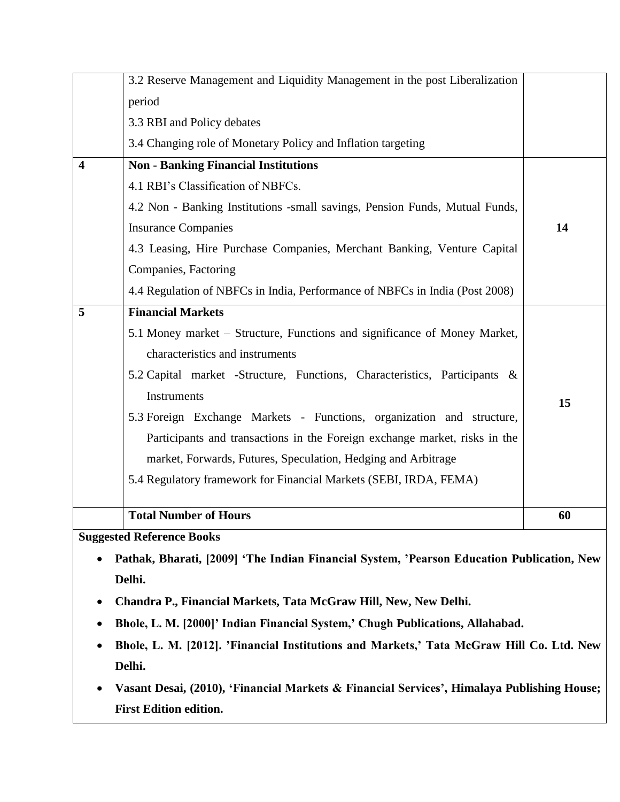|   | 3.2 Reserve Management and Liquidity Management in the post Liberalization  |    |
|---|-----------------------------------------------------------------------------|----|
|   | period                                                                      |    |
|   | 3.3 RBI and Policy debates                                                  |    |
|   | 3.4 Changing role of Monetary Policy and Inflation targeting                |    |
| 4 | <b>Non - Banking Financial Institutions</b>                                 |    |
|   | 4.1 RBI's Classification of NBFCs.                                          |    |
|   | 4.2 Non - Banking Institutions -small savings, Pension Funds, Mutual Funds, |    |
|   | <b>Insurance Companies</b>                                                  | 14 |
|   | 4.3 Leasing, Hire Purchase Companies, Merchant Banking, Venture Capital     |    |
|   | Companies, Factoring                                                        |    |
|   | 4.4 Regulation of NBFCs in India, Performance of NBFCs in India (Post 2008) |    |
| 5 | <b>Financial Markets</b>                                                    |    |
|   | 5.1 Money market – Structure, Functions and significance of Money Market,   |    |
|   | characteristics and instruments                                             |    |
|   | 5.2 Capital market -Structure, Functions, Characteristics, Participants &   |    |
|   | Instruments                                                                 | 15 |
|   | 5.3 Foreign Exchange Markets - Functions, organization and structure,       |    |
|   | Participants and transactions in the Foreign exchange market, risks in the  |    |
|   | market, Forwards, Futures, Speculation, Hedging and Arbitrage               |    |
|   | 5.4 Regulatory framework for Financial Markets (SEBI, IRDA, FEMA)           |    |
|   |                                                                             |    |
|   | <b>Total Number of Hours</b>                                                | 60 |
|   | <b>Suggested Reference Books</b>                                            |    |

- **Pathak, Bharati, [2009] 'The Indian Financial System, 'Pearson Education Publication, New Delhi.**
- **Chandra P., Financial Markets, Tata McGraw Hill, New, New Delhi.**
- **Bhole, L. M. [2000]' Indian Financial System,' Chugh Publications, Allahabad.**
- **Bhole, L. M. [2012]. 'Financial Institutions and Markets,' Tata McGraw Hill Co. Ltd. New Delhi.**
- **Vasant Desai, (2010), 'Financial Markets & Financial Services', Himalaya Publishing House; First Edition edition.**